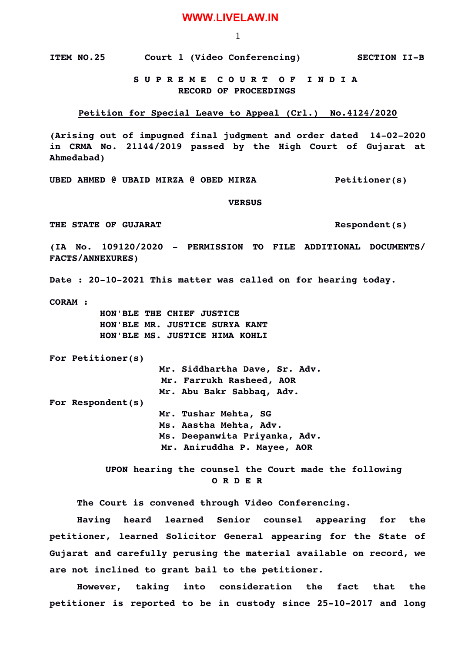## **WWW.LIVELAW.IN**

1

**ITEM NO.25 Court 1 (Video Conferencing) SECTION IIB**

## **S U P R E M E C O U R T O F I N D I A RECORD OF PROCEEDINGS**

## **Petition for Special Leave to Appeal (Crl.) No.4124/2020**

(Arising out of impugned final judgment and order dated 14-02-2020 **in CRMA No. 21144/2019 passed by the High Court of Gujarat at Ahmedabad)**

**UBED AHMED @ UBAID MIRZA @ OBED MIRZA Petitioner(s)**

 **VERSUS**

**THE STATE OF GUJARAT Respondent(s)**

**(IA No. 109120/2020 PERMISSION TO FILE ADDITIONAL DOCUMENTS/ FACTS/ANNEXURES)**

Date : 20-10-2021 This matter was called on for hearing today.

**CORAM :** 

 **HON'BLE THE CHIEF JUSTICE HON'BLE MR. JUSTICE SURYA KANT HON'BLE MS. JUSTICE HIMA KOHLI**

**For Petitioner(s)**

**Mr. Siddhartha Dave, Sr. Adv. Mr. Farrukh Rasheed, AOR** 

**Mr. Abu Bakr Sabbaq, Adv.** 

**For Respondent(s)**

**Mr. Tushar Mehta, SG Ms. Aastha Mehta, Adv.**

**Ms. Deepanwita Priyanka, Adv.**

 **Mr. Aniruddha P. Mayee, AOR** 

 **UPON hearing the counsel the Court made the following O R D E R**

**The Court is convened through Video Conferencing.**

**Having heard learned Senior counsel appearing for the petitioner, learned Solicitor General appearing for the State of Gujarat and carefully perusing the material available on record, we are not inclined to grant bail to the petitioner.**

**However, taking into consideration the fact that the** petitioner is reported to be in custody since 25-10-2017 and long